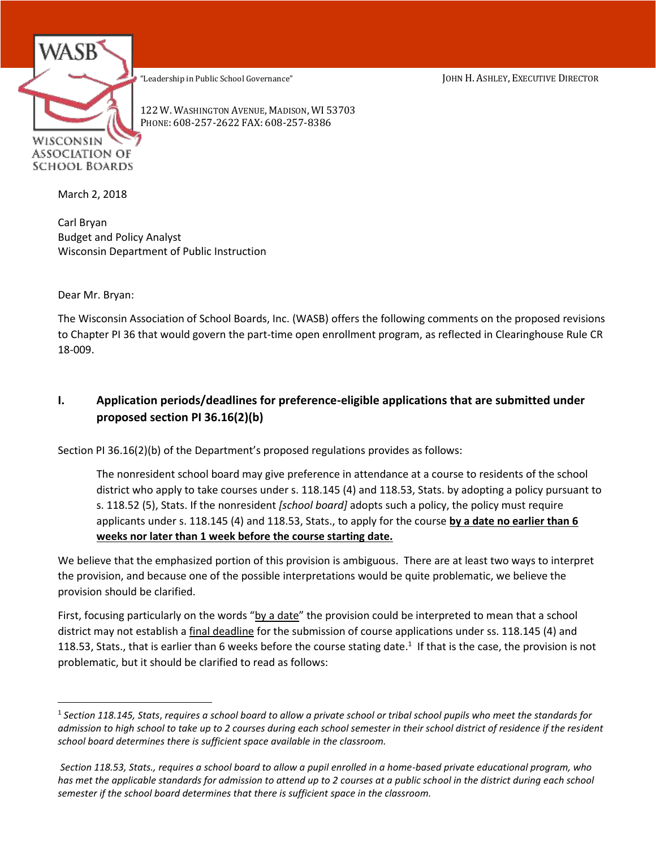WISCONSIN ASSOCIATION OF SCHOOL BOARDS

"Leadership in Public School Governance" JOHN H. ASHLEY, EXECUTIVE DIRECTOR

122 W. WASHINGTON AVENUE, MADISON, WI 53703 PHONE: 608-257-2622 FAX: 608-257-8386

March 2, 2018

Carl Bryan Budget and Policy Analyst Wisconsin Department of Public Instruction

Dear Mr. Bryan:

 $\overline{a}$ 

The Wisconsin Association of School Boards, Inc. (WASB) offers the following comments on the proposed revisions to Chapter PI 36 that would govern the part-time open enrollment program, as reflected in Clearinghouse Rule CR 18-009.

## **I. Application periods/deadlines for preference-eligible applications that are submitted under proposed section PI 36.16(2)(b)**

Section PI 36.16(2)(b) of the Department's proposed regulations provides as follows:

The nonresident school board may give preference in attendance at a course to residents of the school district who apply to take courses under s. 118.145 (4) and 118.53, Stats. by adopting a policy pursuant to s. 118.52 (5), Stats. If the nonresident *[school board]* adopts such a policy, the policy must require applicants under s. 118.145 (4) and 118.53, Stats., to apply for the course **by a date no earlier than 6 weeks nor later than 1 week before the course starting date.**

We believe that the emphasized portion of this provision is ambiguous. There are at least two ways to interpret the provision, and because one of the possible interpretations would be quite problematic, we believe the provision should be clarified.

First, focusing particularly on the words "by a date" the provision could be interpreted to mean that a school district may not establish a final deadline for the submission of course applications under ss. 118.145 (4) and 118.53, Stats., that is earlier than 6 weeks before the course stating date.<sup>1</sup> If that is the case, the provision is not problematic, but it should be clarified to read as follows:

<sup>1</sup> *Section 118.145, Stats*, *requires a school board to allow a private school or tribal school pupils who meet the standards for admission to high school to take up to 2 courses during each school semester in their school district of residence if the resident school board determines there is sufficient space available in the classroom.*

*Section 118.53, Stats., requires a school board to allow a pupil enrolled in a home-based private educational program, who has met the applicable standards for admission to attend up to 2 courses at a public school in the district during each school semester if the school board determines that there is sufficient space in the classroom.*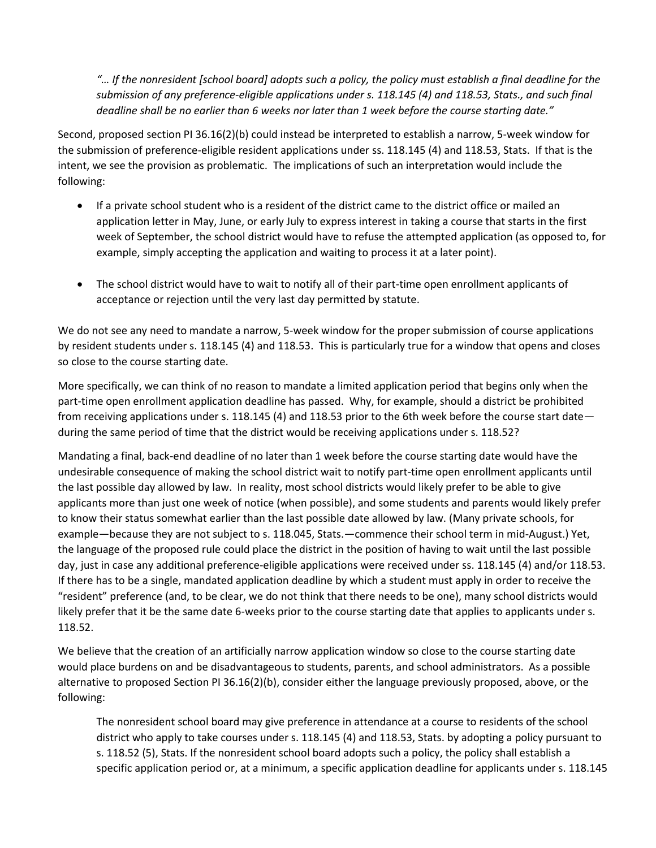*"… If the nonresident [school board] adopts such a policy, the policy must establish a final deadline for the submission of any preference-eligible applications under s. 118.145 (4) and 118.53, Stats., and such final deadline shall be no earlier than 6 weeks nor later than 1 week before the course starting date."*

Second, proposed section PI 36.16(2)(b) could instead be interpreted to establish a narrow, 5-week window for the submission of preference-eligible resident applications under ss. 118.145 (4) and 118.53, Stats. If that is the intent, we see the provision as problematic. The implications of such an interpretation would include the following:

- If a private school student who is a resident of the district came to the district office or mailed an application letter in May, June, or early July to express interest in taking a course that starts in the first week of September, the school district would have to refuse the attempted application (as opposed to, for example, simply accepting the application and waiting to process it at a later point).
- The school district would have to wait to notify all of their part-time open enrollment applicants of acceptance or rejection until the very last day permitted by statute.

We do not see any need to mandate a narrow, 5-week window for the proper submission of course applications by resident students under s. 118.145 (4) and 118.53. This is particularly true for a window that opens and closes so close to the course starting date.

More specifically, we can think of no reason to mandate a limited application period that begins only when the part-time open enrollment application deadline has passed. Why, for example, should a district be prohibited from receiving applications under s. 118.145 (4) and 118.53 prior to the 6th week before the course start date during the same period of time that the district would be receiving applications under s. 118.52?

Mandating a final, back-end deadline of no later than 1 week before the course starting date would have the undesirable consequence of making the school district wait to notify part-time open enrollment applicants until the last possible day allowed by law. In reality, most school districts would likely prefer to be able to give applicants more than just one week of notice (when possible), and some students and parents would likely prefer to know their status somewhat earlier than the last possible date allowed by law. (Many private schools, for example—because they are not subject to s. 118.045, Stats.—commence their school term in mid-August.) Yet, the language of the proposed rule could place the district in the position of having to wait until the last possible day, just in case any additional preference-eligible applications were received under ss. 118.145 (4) and/or 118.53. If there has to be a single, mandated application deadline by which a student must apply in order to receive the "resident" preference (and, to be clear, we do not think that there needs to be one), many school districts would likely prefer that it be the same date 6-weeks prior to the course starting date that applies to applicants under s. 118.52.

We believe that the creation of an artificially narrow application window so close to the course starting date would place burdens on and be disadvantageous to students, parents, and school administrators. As a possible alternative to proposed Section PI 36.16(2)(b), consider either the language previously proposed, above, or the following:

The nonresident school board may give preference in attendance at a course to residents of the school district who apply to take courses under s. 118.145 (4) and 118.53, Stats. by adopting a policy pursuant to s. 118.52 (5), Stats. If the nonresident school board adopts such a policy, the policy shall establish a specific application period or, at a minimum, a specific application deadline for applicants under s. 118.145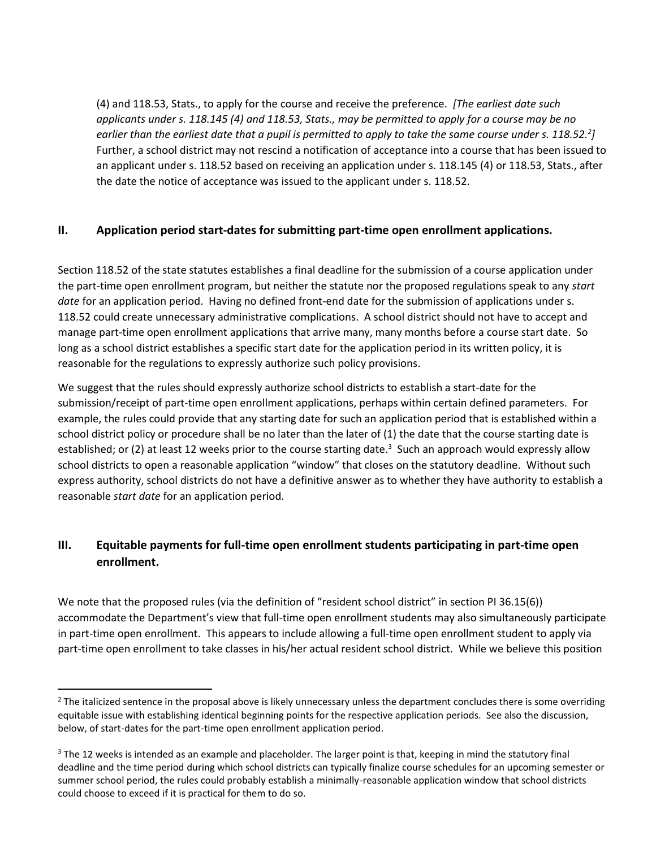(4) and 118.53, Stats., to apply for the course and receive the preference. *[The earliest date such applicants under s. 118.145 (4) and 118.53, Stats., may be permitted to apply for a course may be no earlier than the earliest date that a pupil is permitted to apply to take the same course under s. 118.52.<sup>2</sup> ]* Further, a school district may not rescind a notification of acceptance into a course that has been issued to an applicant under s. 118.52 based on receiving an application under s. 118.145 (4) or 118.53, Stats., after the date the notice of acceptance was issued to the applicant under s. 118.52.

## **II. Application period start-dates for submitting part-time open enrollment applications.**

Section 118.52 of the state statutes establishes a final deadline for the submission of a course application under the part-time open enrollment program, but neither the statute nor the proposed regulations speak to any *start date* for an application period. Having no defined front-end date for the submission of applications under s. 118.52 could create unnecessary administrative complications. A school district should not have to accept and manage part-time open enrollment applications that arrive many, many months before a course start date. So long as a school district establishes a specific start date for the application period in its written policy, it is reasonable for the regulations to expressly authorize such policy provisions.

We suggest that the rules should expressly authorize school districts to establish a start-date for the submission/receipt of part-time open enrollment applications, perhaps within certain defined parameters. For example, the rules could provide that any starting date for such an application period that is established within a school district policy or procedure shall be no later than the later of (1) the date that the course starting date is established; or (2) at least 12 weeks prior to the course starting date.<sup>3</sup> Such an approach would expressly allow school districts to open a reasonable application "window" that closes on the statutory deadline. Without such express authority, school districts do not have a definitive answer as to whether they have authority to establish a reasonable *start date* for an application period.

## **III. Equitable payments for full-time open enrollment students participating in part-time open enrollment.**

We note that the proposed rules (via the definition of "resident school district" in section PI 36.15(6)) accommodate the Department's view that full-time open enrollment students may also simultaneously participate in part-time open enrollment. This appears to include allowing a full-time open enrollment student to apply via part-time open enrollment to take classes in his/her actual resident school district. While we believe this position

 $\overline{a}$ 

<sup>&</sup>lt;sup>2</sup> The italicized sentence in the proposal above is likely unnecessary unless the department concludes there is some overriding equitable issue with establishing identical beginning points for the respective application periods. See also the discussion, below, of start-dates for the part-time open enrollment application period.

<sup>&</sup>lt;sup>3</sup> The 12 weeks is intended as an example and placeholder. The larger point is that, keeping in mind the statutory final deadline and the time period during which school districts can typically finalize course schedules for an upcoming semester or summer school period, the rules could probably establish a minimally-reasonable application window that school districts could choose to exceed if it is practical for them to do so.